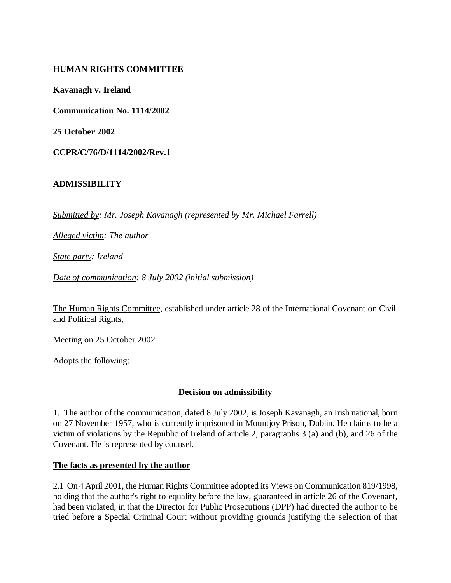## **HUMAN RIGHTS COMMITTEE**

**Kavanagh v. Ireland**

**Communication No. 1114/2002**

**25 October 2002**

**CCPR/C/76/D/1114/2002/Rev.1**

### **ADMISSIBILITY**

*Submitted by: Mr. Joseph Kavanagh (represented by Mr. Michael Farrell)* 

*Alleged victim: The author* 

*State party: Ireland* 

*Date of communication: 8 July 2002 (initial submission)* 

The Human Rights Committee, established under article 28 of the International Covenant on Civil and Political Rights,

Meeting on 25 October 2002

Adopts the following:

#### **Decision on admissibility**

1. The author of the communication, dated 8 July 2002, is Joseph Kavanagh, an Irish national, born on 27 November 1957, who is currently imprisoned in Mountjoy Prison, Dublin. He claims to be a victim of violations by the Republic of Ireland of article 2, paragraphs 3 (a) and (b), and 26 of the Covenant. He is represented by counsel.

#### **The facts as presented by the author**

2.1 On 4 April 2001, the Human Rights Committee adopted its Views on Communication 819/1998, holding that the author's right to equality before the law, guaranteed in article 26 of the Covenant, had been violated, in that the Director for Public Prosecutions (DPP) had directed the author to be tried before a Special Criminal Court without providing grounds justifying the selection of that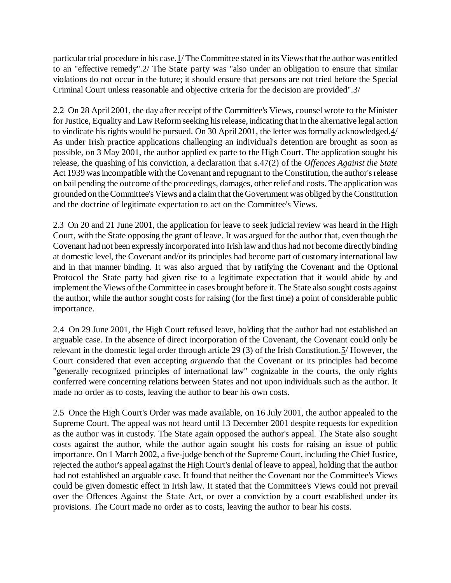particular trial procedure in his case.1/ The Committee stated in its Views that the author was entitled to an "effective remedy".2/ The State party was "also under an obligation to ensure that similar violations do not occur in the future; it should ensure that persons are not tried before the Special Criminal Court unless reasonable and objective criteria for the decision are provided".3/

2.2 On 28 April 2001, the day after receipt of the Committee's Views, counsel wrote to the Minister for Justice, Equality and Law Reform seeking his release, indicating that in the alternative legal action to vindicate his rights would be pursued. On 30 April 2001, the letter was formally acknowledged.4/ As under Irish practice applications challenging an individual's detention are brought as soon as possible, on 3 May 2001, the author applied ex parte to the High Court. The application sought his release, the quashing of his conviction, a declaration that s.47(2) of the *Offences Against the State* Act 1939 was incompatible with the Covenant and repugnant to the Constitution, the author's release on bail pending the outcome of the proceedings, damages, other relief and costs. The application was grounded on the Committee's Views and a claim that the Government was obliged by the Constitution and the doctrine of legitimate expectation to act on the Committee's Views.

2.3 On 20 and 21 June 2001, the application for leave to seek judicial review was heard in the High Court, with the State opposing the grant of leave. It was argued for the author that, even though the Covenant had not been expressly incorporated into Irish law and thus had not become directly binding at domestic level, the Covenant and/or its principles had become part of customary international law and in that manner binding. It was also argued that by ratifying the Covenant and the Optional Protocol the State party had given rise to a legitimate expectation that it would abide by and implement the Views of the Committee in cases brought before it. The State also sought costs against the author, while the author sought costs for raising (for the first time) a point of considerable public importance.

2.4 On 29 June 2001, the High Court refused leave, holding that the author had not established an arguable case. In the absence of direct incorporation of the Covenant, the Covenant could only be relevant in the domestic legal order through article 29 (3) of the Irish Constitution.5/ However, the Court considered that even accepting *arguendo* that the Covenant or its principles had become "generally recognized principles of international law" cognizable in the courts, the only rights conferred were concerning relations between States and not upon individuals such as the author. It made no order as to costs, leaving the author to bear his own costs.

2.5 Once the High Court's Order was made available, on 16 July 2001, the author appealed to the Supreme Court. The appeal was not heard until 13 December 2001 despite requests for expedition as the author was in custody. The State again opposed the author's appeal. The State also sought costs against the author, while the author again sought his costs for raising an issue of public importance. On 1 March 2002, a five-judge bench of the Supreme Court, including the Chief Justice, rejected the author's appeal against the High Court's denial of leave to appeal, holding that the author had not established an arguable case. It found that neither the Covenant nor the Committee's Views could be given domestic effect in Irish law. It stated that the Committee's Views could not prevail over the Offences Against the State Act, or over a conviction by a court established under its provisions. The Court made no order as to costs, leaving the author to bear his costs.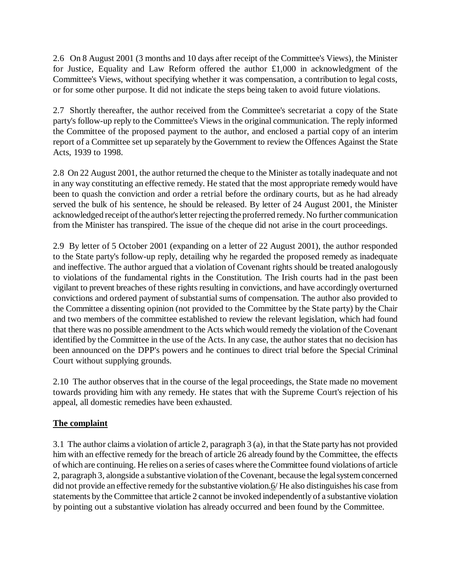2.6 On 8 August 2001 (3 months and 10 days after receipt of the Committee's Views), the Minister for Justice, Equality and Law Reform offered the author £1,000 in acknowledgment of the Committee's Views, without specifying whether it was compensation, a contribution to legal costs, or for some other purpose. It did not indicate the steps being taken to avoid future violations.

2.7 Shortly thereafter, the author received from the Committee's secretariat a copy of the State party's follow-up reply to the Committee's Views in the original communication. The reply informed the Committee of the proposed payment to the author, and enclosed a partial copy of an interim report of a Committee set up separately by the Government to review the Offences Against the State Acts, 1939 to 1998.

2.8 On 22 August 2001, the author returned the cheque to the Minister as totally inadequate and not in any way constituting an effective remedy. He stated that the most appropriate remedy would have been to quash the conviction and order a retrial before the ordinary courts, but as he had already served the bulk of his sentence, he should be released. By letter of 24 August 2001, the Minister acknowledged receipt of the author's letter rejecting the proferred remedy. No further communication from the Minister has transpired. The issue of the cheque did not arise in the court proceedings.

2.9 By letter of 5 October 2001 (expanding on a letter of 22 August 2001), the author responded to the State party's follow-up reply, detailing why he regarded the proposed remedy as inadequate and ineffective. The author argued that a violation of Covenant rights should be treated analogously to violations of the fundamental rights in the Constitution. The Irish courts had in the past been vigilant to prevent breaches of these rights resulting in convictions, and have accordingly overturned convictions and ordered payment of substantial sums of compensation. The author also provided to the Committee a dissenting opinion (not provided to the Committee by the State party) by the Chair and two members of the committee established to review the relevant legislation, which had found that there was no possible amendment to the Acts which would remedy the violation of the Covenant identified by the Committee in the use of the Acts. In any case, the author states that no decision has been announced on the DPP's powers and he continues to direct trial before the Special Criminal Court without supplying grounds.

2.10 The author observes that in the course of the legal proceedings, the State made no movement towards providing him with any remedy. He states that with the Supreme Court's rejection of his appeal, all domestic remedies have been exhausted.

# **The complaint**

3.1 The author claims a violation of article 2, paragraph 3 (a), in that the State party has not provided him with an effective remedy for the breach of article 26 already found by the Committee, the effects of which are continuing. He relies on a series of cases where the Committee found violations of article 2, paragraph 3, alongside a substantive violation of the Covenant, because the legal system concerned did not provide an effective remedy for the substantive violation.6/ He also distinguishes his case from statements by the Committee that article 2 cannot be invoked independently of a substantive violation by pointing out a substantive violation has already occurred and been found by the Committee.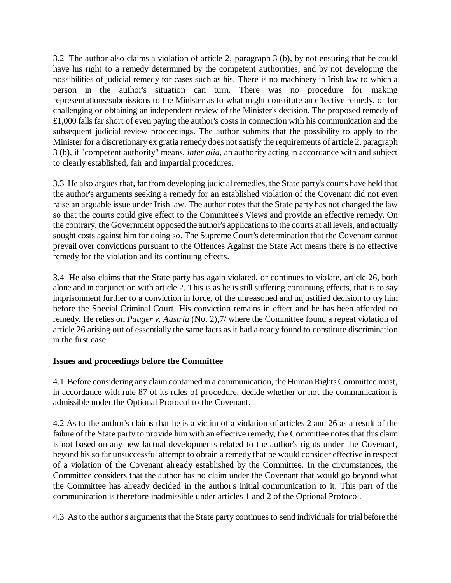3.2 The author also claims a violation of article 2, paragraph 3 (b), by not ensuring that he could have his right to a remedy determined by the competent authorities, and by not developing the possibilities of judicial remedy for cases such as his. There is no machinery in Irish law to which a person in the author's situation can turn. There was no procedure for making representations/submissions to the Minister as to what might constitute an effective remedy, or for challenging or obtaining an independent review of the Minister's decision. The proposed remedy of £1,000 falls far short of even paying the author's costs in connection with his communication and the subsequent judicial review proceedings. The author submits that the possibility to apply to the Minister for a discretionary ex gratia remedy does not satisfy the requirements of article 2, paragraph 3 (b), if "competent authority" means, *inter alia*, an authority acting in accordance with and subject to clearly established, fair and impartial procedures.

3.3 He also argues that, far from developing judicial remedies, the State party's courts have held that the author's arguments seeking a remedy for an established violation of the Covenant did not even raise an arguable issue under Irish law. The author notes that the State party has not changed the law so that the courts could give effect to the Committee's Views and provide an effective remedy. On the contrary, the Government opposed the author's applications to the courts at all levels, and actually sought costs against him for doing so. The Supreme Court's determination that the Covenant cannot prevail over convictions pursuant to the Offences Against the State Act means there is no effective remedy for the violation and its continuing effects.

3.4 He also claims that the State party has again violated, or continues to violate, article 26, both alone and in conjunction with article 2. This is as he is still suffering continuing effects, that is to say imprisonment further to a conviction in force, of the unreasoned and unjustified decision to try him before the Special Criminal Court. His conviction remains in effect and he has been afforded no remedy. He relies on *Pauger v. Austria* (No. 2), 7/ where the Committee found a repeat violation of article 26 arising out of essentially the same facts as it had already found to constitute discrimination in the first case.

## **Issues and proceedings before the Committee**

4.1 Before considering any claim contained in a communication, the Human Rights Committee must, in accordance with rule 87 of its rules of procedure, decide whether or not the communication is admissible under the Optional Protocol to the Covenant.

4.2 As to the author's claims that he is a victim of a violation of articles 2 and 26 as a result of the failure of the State party to provide him with an effective remedy, the Committee notes that this claim is not based on any new factual developments related to the author's rights under the Covenant, beyond his so far unsuccessful attempt to obtain a remedy that he would consider effective in respect of a violation of the Covenant already established by the Committee. In the circumstances, the Committee considers that the author has no claim under the Covenant that would go beyond what the Committee has already decided in the author's initial communication to it. This part of the communication is therefore inadmissible under articles 1 and 2 of the Optional Protocol.

4.3 As to the author's arguments that the State party continues to send individuals for trial before the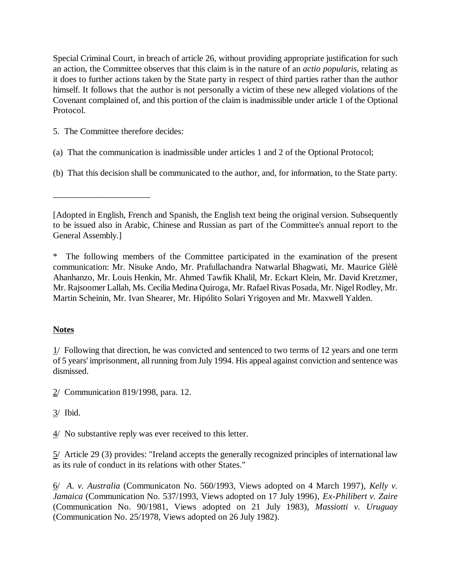Special Criminal Court, in breach of article 26, without providing appropriate justification for such an action, the Committee observes that this claim is in the nature of an *actio popularis*, relating as it does to further actions taken by the State party in respect of third parties rather than the author himself. It follows that the author is not personally a victim of these new alleged violations of the Covenant complained of, and this portion of the claim is inadmissible under article 1 of the Optional Protocol.

5. The Committee therefore decides:

\_\_\_\_\_\_\_\_\_\_\_\_\_\_\_\_\_\_\_\_\_\_

- (a) That the communication is inadmissible under articles 1 and 2 of the Optional Protocol;
- (b) That this decision shall be communicated to the author, and, for information, to the State party.

# **Notes**

 $1/$  Following that direction, he was convicted and sentenced to two terms of 12 years and one term of 5 years' imprisonment, all running from July 1994. His appeal against conviction and sentence was dismissed.

2/ Communication 819/1998, para. 12.

4/ No substantive reply was ever received to this letter.

5/ Article 29 (3) provides: "Ireland accepts the generally recognized principles of international law as its rule of conduct in its relations with other States."

6/ *A. v. Australia* (Communicaton No. 560/1993, Views adopted on 4 March 1997), *Kelly v. Jamaica* (Communication No. 537/1993, Views adopted on 17 July 1996), *Ex-Philibert v. Zaire* (Communication No. 90/1981, Views adopted on 21 July 1983), *Massiotti v. Uruguay* (Communication No. 25/1978, Views adopted on 26 July 1982).

<sup>[</sup>Adopted in English, French and Spanish, the English text being the original version. Subsequently to be issued also in Arabic, Chinese and Russian as part of the Committee's annual report to the General Assembly.]

The following members of the Committee participated in the examination of the present communication: Mr. Nisuke Ando, Mr. Prafullachandra Natwarlal Bhagwati, Mr. Maurice Glèlè Ahanhanzo, Mr. Louis Henkin, Mr. Ahmed Tawfik Khalil, Mr. Eckart Klein, Mr. David Kretzmer, Mr. Rajsoomer Lallah, Ms. Cecilia Medina Quiroga, Mr. Rafael Rivas Posada, Mr. Nigel Rodley, Mr. Martin Scheinin, Mr. Ivan Shearer, Mr. Hipólito Solari Yrigoyen and Mr. Maxwell Yalden.

<sup>3/</sup> Ibid.